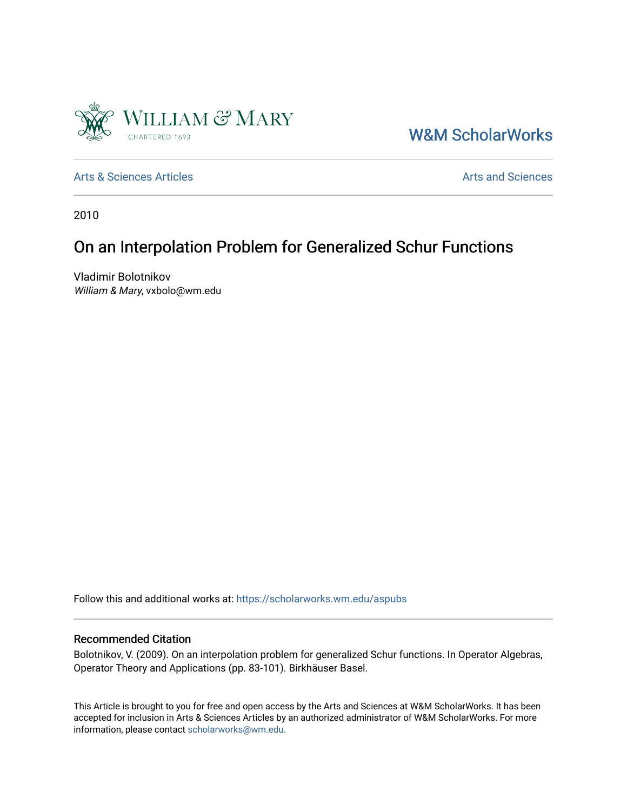

[W&M ScholarWorks](https://scholarworks.wm.edu/) 

[Arts & Sciences Articles](https://scholarworks.wm.edu/aspubs) **Articles** [Arts and Sciences](https://scholarworks.wm.edu/as) Articles Arts and Sciences Arts and Sciences

2010

# On an Interpolation Problem for Generalized Schur Functions

Vladimir Bolotnikov William & Mary, vxbolo@wm.edu

Follow this and additional works at: [https://scholarworks.wm.edu/aspubs](https://scholarworks.wm.edu/aspubs?utm_source=scholarworks.wm.edu%2Faspubs%2F1264&utm_medium=PDF&utm_campaign=PDFCoverPages) 

#### Recommended Citation

Bolotnikov, V. (2009). On an interpolation problem for generalized Schur functions. In Operator Algebras, Operator Theory and Applications (pp. 83-101). Birkhäuser Basel.

This Article is brought to you for free and open access by the Arts and Sciences at W&M ScholarWorks. It has been accepted for inclusion in Arts & Sciences Articles by an authorized administrator of W&M ScholarWorks. For more information, please contact [scholarworks@wm.edu](mailto:scholarworks@wm.edu).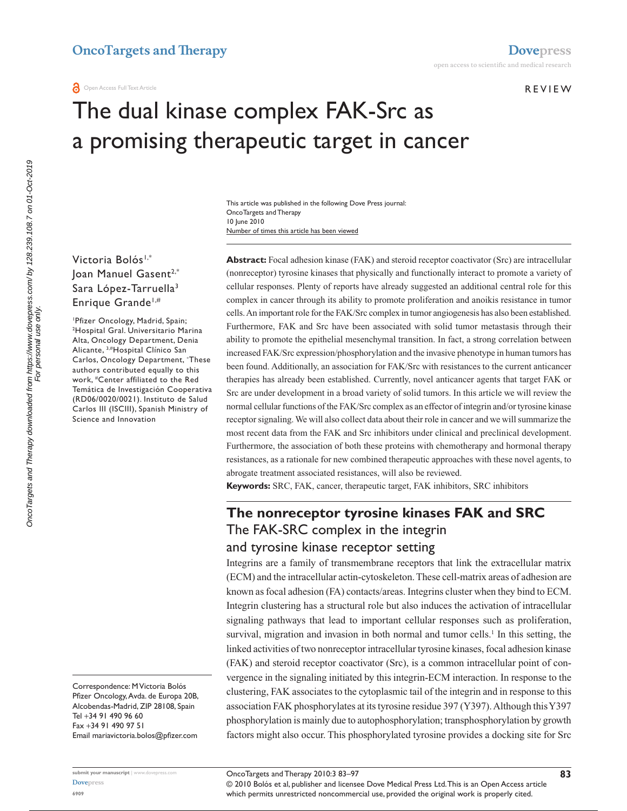#### **REVIEW**

# The dual kinase complex FAK-Src as a promising therapeutic target in cancer

Number of times this article has been viewed This article was published in the following Dove Press journal: OncoTargets and Therapy 10 June 2010

Victoria Bolós<sup>1,\*</sup> Joan Manuel Gasent<sup>2,\*</sup> Sara López-Tarruella<sup>3</sup> Enrique Grande1,#

1 Pfizer Oncology, Madrid, Spain; 2 Hospital Gral. Universitario Marina Alta, Oncology Department, Denia Alicante, 3,#Hospital Clínico San Carlos, Oncology Department, <sup>∗</sup> These authors contributed equally to this work, #Center affiliated to the Red Temática de Investigación Cooperativa (RD06/0020/0021). Instituto de Salud Carlos III (ISCIII), Spanish Ministry of Science and Innovation

Correspondence: M Victoria Bolós Pfizer Oncology, Avda. de Europa 20B, Alcobendas-Madrid, ZIP 28108, Spain Tel +34 91 490 96 60 Fax +34 91 490 97 51 Email mariavictoria.bolos@pfizer.com **Abstract:** Focal adhesion kinase (FAK) and steroid receptor coactivator (Src) are intracellular (nonreceptor) tyrosine kinases that physically and functionally interact to promote a variety of cellular responses. Plenty of reports have already suggested an additional central role for this complex in cancer through its ability to promote proliferation and anoikis resistance in tumor cells. An important role for the FAK/Src complex in tumor angiogenesis has also been established. Furthermore, FAK and Src have been associated with solid tumor metastasis through their ability to promote the epithelial mesenchymal transition. In fact, a strong correlation between increased FAK/Src expression/phosphorylation and the invasive phenotype in human tumors has been found. Additionally, an association for FAK/Src with resistances to the current anticancer therapies has already been established. Currently, novel anticancer agents that target FAK or Src are under development in a broad variety of solid tumors. In this article we will review the normal cellular functions of the FAK/Src complex as an effector of integrin and/or tyrosine kinase receptor signaling. We will also collect data about their role in cancer and we will summarize the most recent data from the FAK and Src inhibitors under clinical and preclinical development. Furthermore, the association of both these proteins with chemotherapy and hormonal therapy resistances, as a rationale for new combined therapeutic approaches with these novel agents, to abrogate treatment associated resistances, will also be reviewed.

**Keywords:** SRC, FAK, cancer, therapeutic target, FAK inhibitors, SRC inhibitors

# **The nonreceptor tyrosine kinases FAK and SRC** The FAK-SRC complex in the integrin and tyrosine kinase receptor setting

# Integrins are a family of transmembrane receptors that link the extracellular matrix (ECM) and the intracellular actin-cytoskeleton. These cell-matrix areas of adhesion are known as focal adhesion (FA) contacts/areas. Integrins cluster when they bind to ECM. Integrin clustering has a structural role but also induces the activation of intracellular signaling pathways that lead to important cellular responses such as proliferation, survival, migration and invasion in both normal and tumor cells.<sup>1</sup> In this setting, the linked activities of two nonreceptor intracellular tyrosine kinases, focal adhesion kinase (FAK) and steroid receptor coactivator (Src), is a common intracellular point of convergence in the signaling initiated by this integrin-ECM interaction. In response to the clustering, FAK associates to the cytoplasmic tail of the integrin and in response to this association FAK phosphorylates at its tyrosine residue 397 (Y397). Although this Y397 phosphorylation is mainly due to autophosphorylation; transphosphorylation by growth factors might also occur. This phosphorylated tyrosine provides a docking site for Src

For personal use only.

OncoTargets and Therapy 2010:3 83–97

© 2010 Bolós et al, publisher and licensee Dove Medical Press Ltd. This is an Open Access article which permits unrestricted noncommercial use, provided the original work is properly cited.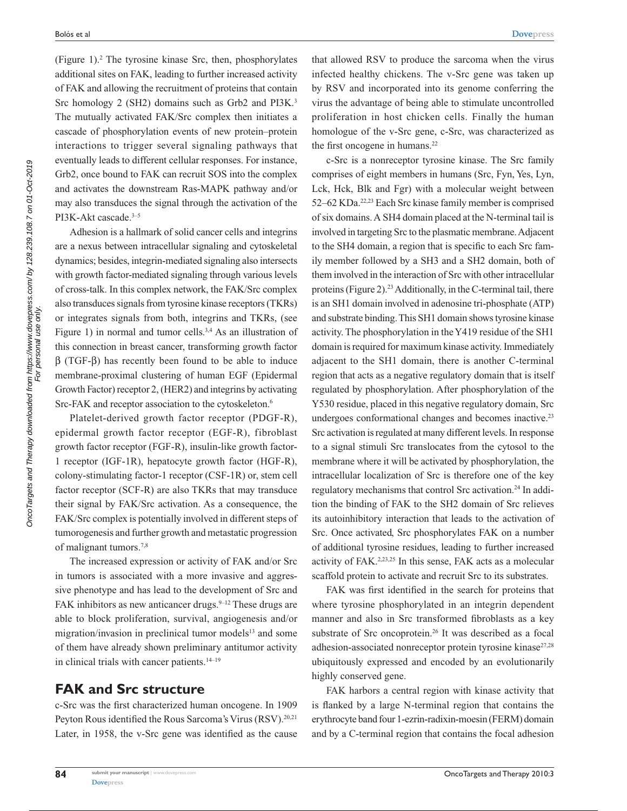(Figure 1).2 The tyrosine kinase Src, then, phosphorylates additional sites on FAK, leading to further increased activity of FAK and allowing the recruitment of proteins that contain Src homology 2 (SH2) domains such as Grb2 and PI3K.<sup>3</sup> The mutually activated FAK/Src complex then initiates a cascade of phosphorylation events of new protein–protein interactions to trigger several signaling pathways that eventually leads to different cellular responses. For instance, Grb2, once bound to FAK can recruit SOS into the complex and activates the downstream Ras-MAPK pathway and/or may also transduces the signal through the activation of the PI3K-Akt cascade.<sup>3-5</sup>

Adhesion is a hallmark of solid cancer cells and integrins are a nexus between intracellular signaling and cytoskeletal dynamics; besides, integrin-mediated signaling also intersects with growth factor-mediated signaling through various levels of cross-talk. In this complex network, the FAK/Src complex also transduces signals from tyrosine kinase receptors (TKRs) or integrates signals from both, integrins and TKRs, (see Figure 1) in normal and tumor cells.<sup>3,4</sup> As an illustration of this connection in breast cancer, transforming growth factor β (TGF-β) has recently been found to be able to induce membrane-proximal clustering of human EGF (Epidermal Growth Factor) receptor 2, (HER2) and integrins by activating Src-FAK and receptor association to the cytoskeleton.<sup>6</sup>

Platelet-derived growth factor receptor (PDGF-R), epidermal growth factor receptor (EGF-R), fibroblast growth factor receptor (FGF-R), insulin-like growth factor-1 receptor (IGF-1R), hepatocyte growth factor (HGF-R), colony-stimulating factor-1 receptor (CSF-1R) or, stem cell factor receptor (SCF-R) are also TKRs that may transduce their signal by FAK/Src activation. As a consequence, the FAK/Src complex is potentially involved in different steps of tumorogenesis and further growth and metastatic progression of malignant tumors.7,8

The increased expression or activity of FAK and/or Src in tumors is associated with a more invasive and aggressive phenotype and has lead to the development of Src and FAK inhibitors as new anticancer drugs. $9-12$  These drugs are able to block proliferation, survival, angiogenesis and/or migration/invasion in preclinical tumor models<sup>13</sup> and some of them have already shown preliminary antitumor activity in clinical trials with cancer patients.<sup>14–19</sup>

#### **FAK and Src structure**

c-Src was the first characterized human oncogene. In 1909 Peyton Rous identified the Rous Sarcoma's Virus (RSV).<sup>20,21</sup> Later, in 1958, the v-Src gene was identified as the cause

that allowed RSV to produce the sarcoma when the virus infected healthy chickens. The v-Src gene was taken up by RSV and incorporated into its genome conferring the virus the advantage of being able to stimulate uncontrolled proliferation in host chicken cells. Finally the human homologue of the v-Src gene, c-Src, was characterized as the first oncogene in humans.<sup>22</sup>

c-Src is a nonreceptor tyrosine kinase. The Src family comprises of eight members in humans (Src, Fyn, Yes, Lyn, Lck, Hck, Blk and Fgr) with a molecular weight between 52–62 KDa.22,23 Each Src kinase family member is comprised of six domains. A SH4 domain placed at the N-terminal tail is involved in targeting Src to the plasmatic membrane. Adjacent to the SH4 domain, a region that is specific to each Src family member followed by a SH3 and a SH2 domain, both of them involved in the interaction of Src with other intracellular proteins (Figure 2).23 Additionally, in the C-terminal tail, there is an SH1 domain involved in adenosine tri-phosphate (ATP) and substrate binding. This SH1 domain shows tyrosine kinase activity. The phosphorylation in the Y419 residue of the SH1 domain is required for maximum kinase activity. Immediately adjacent to the SH1 domain, there is another C-terminal region that acts as a negative regulatory domain that is itself regulated by phosphorylation. After phosphorylation of the Y530 residue, placed in this negative regulatory domain, Src undergoes conformational changes and becomes inactive.<sup>23</sup> Src activation is regulated at many different levels. In response to a signal stimuli Src translocates from the cytosol to the membrane where it will be activated by phosphorylation, the intracellular localization of Src is therefore one of the key regulatory mechanisms that control Src activation.<sup>24</sup> In addition the binding of FAK to the SH2 domain of Src relieves its autoinhibitory interaction that leads to the activation of Src. Once activated, Src phosphorylates FAK on a number of additional tyrosine residues, leading to further increased activity of FAK.2,23,25 In this sense, FAK acts as a molecular scaffold protein to activate and recruit Src to its substrates.

FAK was first identified in the search for proteins that where tyrosine phosphorylated in an integrin dependent manner and also in Src transformed fibroblasts as a key substrate of Src oncoprotein.<sup>26</sup> It was described as a focal adhesion-associated nonreceptor protein tyrosine kinase<sup>27,28</sup> ubiquitously expressed and encoded by an evolutionarily highly conserved gene.

FAK harbors a central region with kinase activity that is flanked by a large N-terminal region that contains the erythrocyte band four 1-ezrin-radixin-moesin (FERM) domain and by a C-terminal region that contains the focal adhesion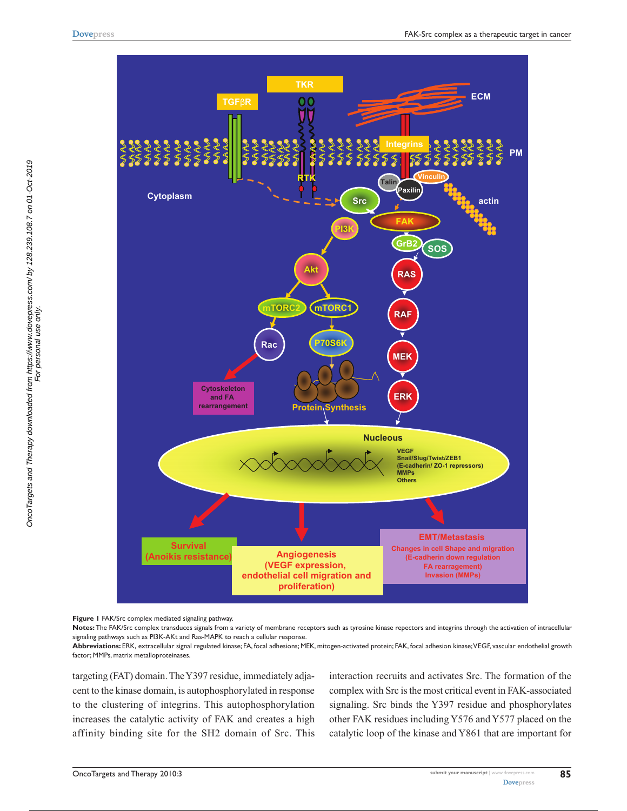

**Figure 1** FAK/Src complex mediated signaling pathway.

**Notes:** The FAK/Src complex transduces signals from a variety of membrane receptors such as tyrosine kinase repectors and integrins through the activation of intracellular signaling pathways such as PI3K-AKt and Ras-MAPK to reach a cellular response.

**Abbreviations:** ERK, extracellular signal regulated kinase; FA, focal adhesions; MEK, mitogen-activated protein; FAK, focal adhesion kinase; VEGF, vascular endothelial growth factor; MMPs, matrix metalloproteinases.

targeting (FAT) domain. The Y397 residue, immediately adjacent to the kinase domain, is autophosphorylated in response to the clustering of integrins. This autophosphorylation increases the catalytic activity of FAK and creates a high affinity binding site for the SH2 domain of Src. This interaction recruits and activates Src. The formation of the complex with Src is the most critical event in FAK-associated signaling. Src binds the Y397 residue and phosphorylates other FAK residues including Y576 and Y577 placed on the catalytic loop of the kinase and Y861 that are important for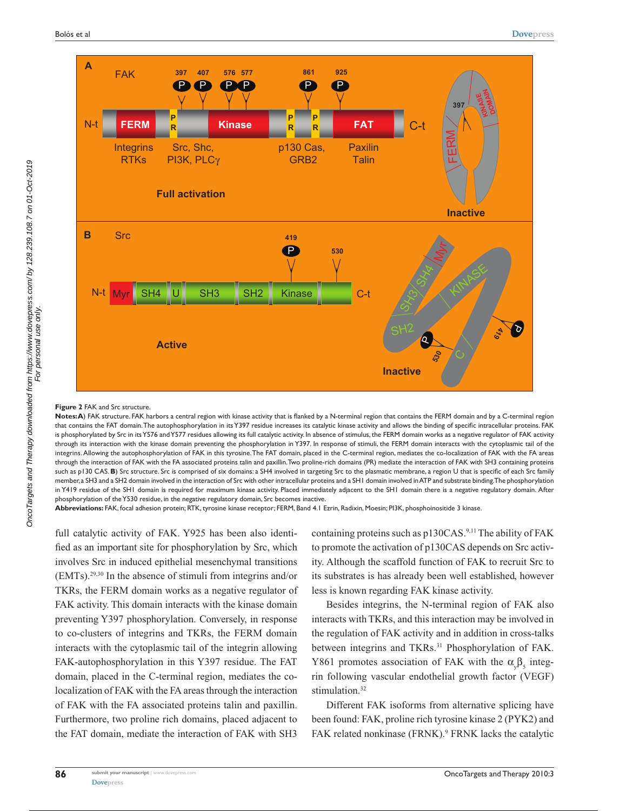

#### **Figure 2** FAK and Src structure.

**Notes: A**) FAK structure. FAK harbors a central region with kinase activity that is flanked by a N-terminal region that contains the FERM domain and by a C-terminal region that contains the FAT domain. The autophosphorylation in its Y397 residue increases its catalytic kinase activity and allows the binding of specific intracellular proteins. FAK is phosphorylated by Src in its Y576 and Y577 residues allowing its full catalytic activity. In absence of stimulus, the FERM domain works as a negative regulator of FAK activity through its interaction with the kinase domain preventing the phosphorylation in Y397. In response of stimuli, the FERM domain interacts with the cytoplasmic tail of the integrins. Allowing the autophosphorylation of FAK in this tyrosine. The FAT domain, placed in the C-terminal region, mediates the co-localization of FAK with the FA areas through the interaction of FAK with the FA associated proteins talin and paxillin. Two proline-rich domains (PR) mediate the interaction of FAK with SH3 containing proteins such as p130 CAS. **B**) Src structure. Src is comprised of six domains: a SH4 involved in targeting Src to the plasmatic membrane, a region U that is specific of each Src family member, a SH3 and a SH2 domain involved in the interaction of Src with other intracellular proteins and a SH1 domain involved in ATP and substrate binding. The phosphorylation in Y419 residue of the SH1 domain is required for maximum kinase activity. Placed immediately adjacent to the SH1 domain there is a negative regulatory domain. After phosphorylation of the Y530 residue, in the negative regulatory domain, Src becomes inactive.

**Abbreviations:** FAK, focal adhesion protein; RTK, tyrosine kinase receptor; FERM, Band 4.1 Ezrin, Radixin, Moesin; PI3K, phosphoinositide 3 kinase.

full catalytic activity of FAK. Y925 has been also identified as an important site for phosphorylation by Src, which involves Src in induced epithelial mesenchymal transitions (EMTs).29,30 In the absence of stimuli from integrins and/or TKRs, the FERM domain works as a negative regulator of FAK activity. This domain interacts with the kinase domain preventing Y397 phosphorylation. Conversely, in response to co-clusters of integrins and TKRs, the FERM domain interacts with the cytoplasmic tail of the integrin allowing FAK-autophosphorylation in this Y397 residue. The FAT domain, placed in the C-terminal region, mediates the colocalization of FAK with the FA areas through the interaction of FAK with the FA associated proteins talin and paxillin. Furthermore, two proline rich domains, placed adjacent to the FAT domain, mediate the interaction of FAK with SH3

containing proteins such as  $p130CAS$ .<sup>9,11</sup> The ability of FAK to promote the activation of p130CAS depends on Src activity. Although the scaffold function of FAK to recruit Src to its substrates is has already been well established, however less is known regarding FAK kinase activity.

Besides integrins, the N-terminal region of FAK also interacts with TKRs, and this interaction may be involved in the regulation of FAK activity and in addition in cross-talks between integrins and TKRs.<sup>31</sup> Phosphorylation of FAK. Y861 promotes association of FAK with the  $\alpha_{y} \beta_{5}$  integrin following vascular endothelial growth factor (VEGF) stimulation.<sup>32</sup>

Different FAK isoforms from alternative splicing have been found: FAK, proline rich tyrosine kinase 2 (PYK2) and FAK related nonkinase (FRNK).<sup>9</sup> FRNK lacks the catalytic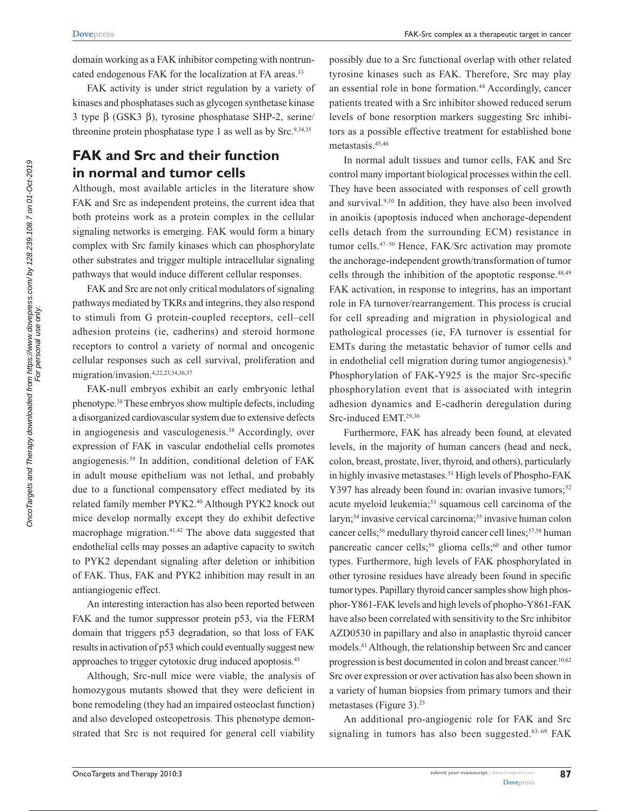domain working as a FAK inhibitor competing with nontruncated endogenous FAK for the localization at FA areas.<sup>33</sup>

FAK activity is under strict regulation by a variety of kinases and phosphatases such as glycogen synthetase kinase 3 type β (GSK3 β), tyrosine phosphatase SHP-2, serine/ threonine protein phosphatase type 1 as well as by  $Src$ .<sup>9,34,35</sup>

# **FAK and Src and their function in normal and tumor cells**

Although, most available articles in the literature show FAK and Src as independent proteins, the current idea that both proteins work as a protein complex in the cellular signaling networks is emerging. FAK would form a binary complex with Src family kinases which can phosphorylate other substrates and trigger multiple intracellular signaling pathways that would induce different cellular responses.

FAK and Src are not only critical modulators of signaling pathways mediated by TKRs and integrins, they also respond to stimuli from G protein-coupled receptors, cell–cell adhesion proteins (ie, cadherins) and steroid hormone receptors to control a variety of normal and oncogenic cellular responses such as cell survival, proliferation and migration/invasion.4,22,23,34,36,37

FAK-null embryos exhibit an early embryonic lethal phenotype.38 These embryos show multiple defects, including a disorganized cardiovascular system due to extensive defects in angiogenesis and vasculogenesis.38 Accordingly, over expression of FAK in vascular endothelial cells promotes angiogenesis.39 In addition, conditional deletion of FAK in adult mouse epithelium was not lethal, and probably due to a functional compensatory effect mediated by its related family member PYK2.40 Although PYK2 knock out mice develop normally except they do exhibit defective macrophage migration.41,42 The above data suggested that endothelial cells may posses an adaptive capacity to switch to PYK2 dependant signaling after deletion or inhibition of FAK. Thus, FAK and PYK2 inhibition may result in an antiangiogenic effect.

An interesting interaction has also been reported between FAK and the tumor suppressor protein p53, via the FERM domain that triggers p53 degradation, so that loss of FAK results in activation of p53 which could eventually suggest new approaches to trigger cytotoxic drug induced apoptosis.43

Although, Src-null mice were viable, the analysis of homozygous mutants showed that they were deficient in bone remodeling (they had an impaired osteoclast function) and also developed osteopetrosis. This phenotype demonstrated that Src is not required for general cell viability

possibly due to a Src functional overlap with other related tyrosine kinases such as FAK. Therefore, Src may play an essential role in bone formation.<sup>44</sup> Accordingly, cancer patients treated with a Src inhibitor showed reduced serum levels of bone resorption markers suggesting Src inhibitors as a possible effective treatment for established bone metastasis.45,46

In normal adult tissues and tumor cells, FAK and Src control many important biological processes within the cell. They have been associated with responses of cell growth and survival.<sup>9,10</sup> In addition, they have also been involved in anoikis (apoptosis induced when anchorage-dependent cells detach from the surrounding ECM) resistance in tumor cells.<sup>47–50</sup> Hence, FAK/Src activation may promote the anchorage-independent growth/transformation of tumor cells through the inhibition of the apoptotic response.<sup>48,49</sup> FAK activation, in response to integrins, has an important role in FA turnover/rearrangement. This process is crucial for cell spreading and migration in physiological and pathological processes (ie, FA turnover is essential for EMTs during the metastatic behavior of tumor cells and in endothelial cell migration during tumor angiogenesis).<sup>9</sup> Phosphorylation of FAK-Y925 is the major Src-specific phosphorylation event that is associated with integrin adhesion dynamics and E-cadherin deregulation during Src-induced EMT.29,30

Furthermore, FAK has already been found, at elevated levels, in the majority of human cancers (head and neck, colon, breast, prostate, liver, thyroid, and others), particularly in highly invasive metastases.<sup>51</sup> High levels of Phospho-FAK Y397 has already been found in: ovarian invasive tumors;<sup>52</sup> acute myeloid leukemia;<sup>53</sup> squamous cell carcinoma of the laryn;<sup>54</sup> invasive cervical carcinoma;<sup>55</sup> invasive human colon cancer cells;<sup>56</sup> medullary thyroid cancer cell lines;<sup>57,58</sup> human pancreatic cancer cells;<sup>59</sup> glioma cells;<sup>60</sup> and other tumor types. Furthermore, high levels of FAK phosphorylated in other tyrosine residues have already been found in specific tumor types. Papillary thyroid cancer samples show high phosphor-Y861-FAK levels and high levels of phopho-Y861-FAK have also been correlated with sensitivity to the Src inhibitor AZD0530 in papillary and also in anaplastic thyroid cancer models.61 Although, the relationship between Src and cancer progression is best documented in colon and breast cancer.<sup>10,62</sup> Src over expression or over activation has also been shown in a variety of human biopsies from primary tumors and their metastases (Figure 3).<sup>23</sup>

An additional pro-angiogenic role for FAK and Src signaling in tumors has also been suggested. $63-69$  FAK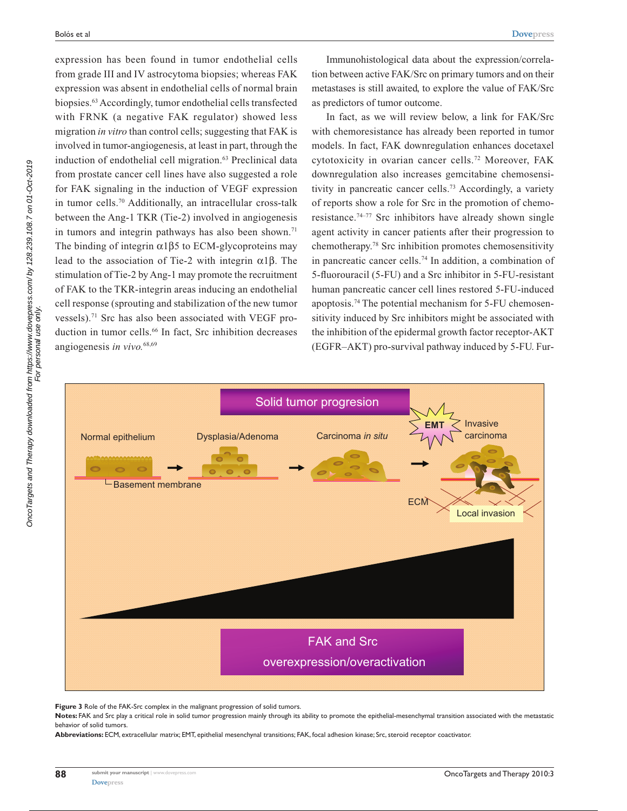expression has been found in tumor endothelial cells from grade III and IV astrocytoma biopsies; whereas FAK expression was absent in endothelial cells of normal brain biopsies.63 Accordingly, tumor endothelial cells transfected with FRNK (a negative FAK regulator) showed less migration *in vitro* than control cells; suggesting that FAK is involved in tumor-angiogenesis, at least in part, through the induction of endothelial cell migration.<sup>63</sup> Preclinical data from prostate cancer cell lines have also suggested a role for FAK signaling in the induction of VEGF expression in tumor cells.70 Additionally, an intracellular cross-talk between the Ang-1 TKR (Tie-2) involved in angiogenesis in tumors and integrin pathways has also been shown.<sup>71</sup> The binding of integrin  $\alpha$ 1 $\beta$ 5 to ECM-glycoproteins may lead to the association of Tie-2 with integrin α1β. The stimulation of Tie-2 by Ang-1 may promote the recruitment of FAK to the TKR-integrin areas inducing an endothelial cell response (sprouting and stabilization of the new tumor vessels).71 Src has also been associated with VEGF production in tumor cells.<sup>66</sup> In fact, Src inhibition decreases angiogenesis *in vivo.*68,69

Immunohistological data about the expression/correlation between active FAK/Src on primary tumors and on their metastases is still awaited, to explore the value of FAK/Src as predictors of tumor outcome.

In fact, as we will review below, a link for FAK/Src with chemoresistance has already been reported in tumor models. In fact, FAK downregulation enhances docetaxel cytotoxicity in ovarian cancer cells.72 Moreover, FAK downregulation also increases gemcitabine chemosensitivity in pancreatic cancer cells.73 Accordingly, a variety of reports show a role for Src in the promotion of chemoresistance.74–77 Src inhibitors have already shown single agent activity in cancer patients after their progression to chemotherapy.78 Src inhibition promotes chemosensitivity in pancreatic cancer cells.74 In addition, a combination of 5-fluorouracil (5-FU) and a Src inhibitor in 5-FU-resistant human pancreatic cancer cell lines restored 5-FU-induced apoptosis.74 The potential mechanism for 5-FU chemosensitivity induced by Src inhibitors might be associated with the inhibition of the epidermal growth factor receptor-AKT (EGFR–AKT) pro-survival pathway induced by 5-FU. Fur-



**Figure 3** Role of the FAK-Src complex in the malignant progression of solid tumors.

**Notes:** FAK and Src play a critical role in solid tumor progression mainly through its ability to promote the epithelial-mesenchymal transition associated with the metastatic behavior of solid tumors.

**Abbreviations:** ECM, extracellular matrix; EMT, epithelial mesenchynal transitions; FAK, focal adhesion kinase; Src, steroid receptor coactivator.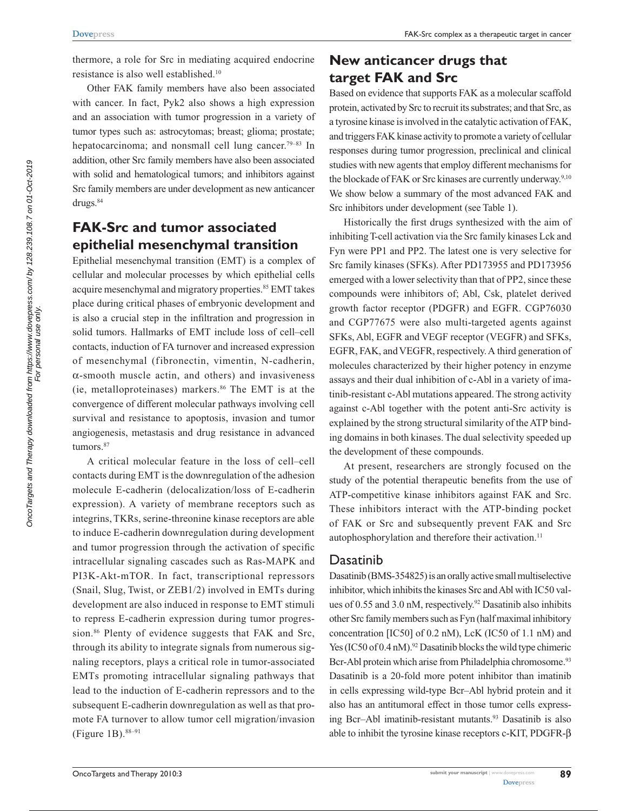thermore, a role for Src in mediating acquired endocrine resistance is also well established.10

Other FAK family members have also been associated with cancer. In fact, Pyk2 also shows a high expression and an association with tumor progression in a variety of tumor types such as: astrocytomas; breast; glioma; prostate; hepatocarcinoma; and nonsmall cell lung cancer.<sup>79-83</sup> In addition, other Src family members have also been associated with solid and hematological tumors; and inhibitors against Src family members are under development as new anticancer drugs.<sup>84</sup>

# **FAK-Src and tumor associated epithelial mesenchymal transition**

Epithelial mesenchymal transition (EMT) is a complex of cellular and molecular processes by which epithelial cells acquire mesenchymal and migratory properties.<sup>85</sup> EMT takes place during critical phases of embryonic development and is also a crucial step in the infiltration and progression in solid tumors. Hallmarks of EMT include loss of cell–cell contacts, induction of FA turnover and increased expression of mesenchymal (fibronectin, vimentin, N-cadherin, α-smooth muscle actin, and others) and invasiveness (ie, metalloproteinases) markers.<sup>86</sup> The EMT is at the convergence of different molecular pathways involving cell survival and resistance to apoptosis, invasion and tumor angiogenesis, metastasis and drug resistance in advanced tumors.<sup>87</sup>

A critical molecular feature in the loss of cell–cell contacts during EMT is the downregulation of the adhesion molecule E-cadherin (delocalization/loss of E-cadherin expression). A variety of membrane receptors such as integrins, TKRs, serine-threonine kinase receptors are able to induce E-cadherin downregulation during development and tumor progression through the activation of specific intracellular signaling cascades such as Ras-MAPK and PI3K-Akt-mTOR. In fact, transcriptional repressors (Snail, Slug, Twist, or ZEB1/2) involved in EMTs during development are also induced in response to EMT stimuli to repress E-cadherin expression during tumor progression.<sup>86</sup> Plenty of evidence suggests that FAK and Src, through its ability to integrate signals from numerous signaling receptors, plays a critical role in tumor-associated EMTs promoting intracellular signaling pathways that lead to the induction of E-cadherin repressors and to the subsequent E-cadherin downregulation as well as that promote FA turnover to allow tumor cell migration/invasion (Figure 1B).  $88-91$ 

# **New anticancer drugs that target FAK and Src**

Based on evidence that supports FAK as a molecular scaffold protein, activated by Src to recruit its substrates; and that Src, as a tyrosine kinase is involved in the catalytic activation of FAK, and triggers FAK kinase activity to promote a variety of cellular responses during tumor progression, preclinical and clinical studies with new agents that employ different mechanisms for the blockade of FAK or Src kinases are currently underway.<sup>9,10</sup> We show below a summary of the most advanced FAK and Src inhibitors under development (see Table 1).

Historically the first drugs synthesized with the aim of inhibiting T-cell activation via the Src family kinases Lck and Fyn were PP1 and PP2. The latest one is very selective for Src family kinases (SFKs). After PD173955 and PD173956 emerged with a lower selectivity than that of PP2, since these compounds were inhibitors of; Abl, Csk, platelet derived growth factor receptor (PDGFR) and EGFR. CGP76030 and CGP77675 were also multi-targeted agents against SFKs, Abl, EGFR and VEGF receptor (VEGFR) and SFKs, EGFR, FAK, and VEGFR, respectively. A third generation of molecules characterized by their higher potency in enzyme assays and their dual inhibition of c-Abl in a variety of imatinib-resistant c-Abl mutations appeared. The strong activity against c-Abl together with the potent anti-Src activity is explained by the strong structural similarity of the ATP binding domains in both kinases. The dual selectivity speeded up the development of these compounds.

At present, researchers are strongly focused on the study of the potential therapeutic benefits from the use of ATP-competitive kinase inhibitors against FAK and Src. These inhibitors interact with the ATP-binding pocket of FAK or Src and subsequently prevent FAK and Src autophosphorylation and therefore their activation.<sup>11</sup>

#### Dasatinib

Dasatinib (BMS-354825) is an orally active small multiselective inhibitor, which inhibits the kinases Src and Abl with IC50 values of 0.55 and 3.0 nM, respectively.<sup>92</sup> Dasatinib also inhibits other Src family members such as Fyn (half maximal inhibitory concentration [IC50] of 0.2 nM), LcK (IC50 of 1.1 nM) and Yes (IC50 of  $0.4$  nM).<sup>92</sup> Dasatinib blocks the wild type chimeric Bcr-Abl protein which arise from Philadelphia chromosome.<sup>93</sup> Dasatinib is a 20-fold more potent inhibitor than imatinib in cells expressing wild-type Bcr–Abl hybrid protein and it also has an antitumoral effect in those tumor cells expressing Bcr–Abl imatinib-resistant mutants.93 Dasatinib is also able to inhibit the tyrosine kinase receptors c-KIT, PDGFR-β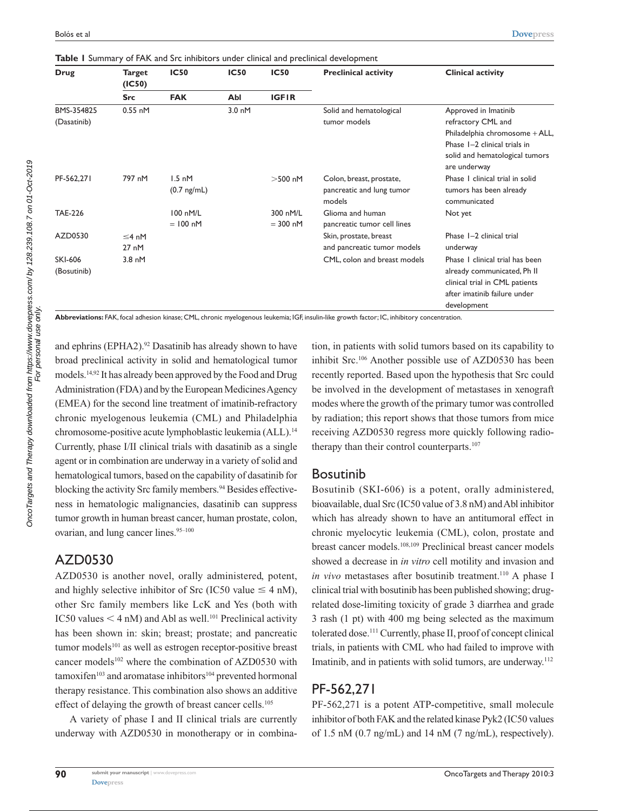clinical trial in CML patients after imatinib failure under

development

| Drug                          | <b>Target</b><br>(IC50) | <b>IC50</b>                       | <b>IC50</b> | <b>IC50</b>                    | <b>Preclinical activity</b>                                     | <b>Clinical activity</b>                                                                                                                                       |  |
|-------------------------------|-------------------------|-----------------------------------|-------------|--------------------------------|-----------------------------------------------------------------|----------------------------------------------------------------------------------------------------------------------------------------------------------------|--|
|                               | <b>Src</b>              | <b>FAK</b>                        | Abl         | <b>IGFIR</b>                   |                                                                 |                                                                                                                                                                |  |
| BMS-354825<br>(Dasatinib)     | $0.55$ nM               |                                   | 3.0 nM      |                                | Solid and hematological<br>tumor models                         | Approved in Imatinib<br>refractory CML and<br>Philadelphia chromosome + ALL,<br>Phase 1-2 clinical trials in<br>solid and hematological tumors<br>are underway |  |
| PF-562,271                    | 797 nM                  | $1.5$ nM<br>$(0.7 \text{ ng/mL})$ |             | $>500$ nM                      | Colon, breast, prostate,<br>pancreatic and lung tumor<br>models | Phase I clinical trial in solid<br>tumors has been already<br>communicated                                                                                     |  |
| <b>TAE-226</b>                |                         | 100 nM/L<br>$= 100$ nM            |             | 300 nM/L<br>$= 300 \text{ nM}$ | Glioma and human<br>pancreatic tumor cell lines                 | Not yet                                                                                                                                                        |  |
| AZD0530                       | $\leq$ 4 nM<br>27 nM    |                                   |             |                                | Skin, prostate, breast<br>and pancreatic tumor models           | Phase 1-2 clinical trial<br>underway                                                                                                                           |  |
| <b>SKI-606</b><br>(Bosutinib) | 3.8 <sub>n</sub> M      |                                   |             |                                | CML, colon and breast models                                    | Phase I clinical trial has been<br>already communicated, Ph II                                                                                                 |  |

|  |  |  |  |  |  |  | Table I Summary of FAK and Src inhibitors under clinical and preclinical development |
|--|--|--|--|--|--|--|--------------------------------------------------------------------------------------|
|--|--|--|--|--|--|--|--------------------------------------------------------------------------------------|

**Abbreviations:** FAK, focal adhesion kinase; CML, chronic myelogenous leukemia; IGF, insulin-like growth factor; IC, inhibitory concentration.

and ephrins (EPHA2).<sup>92</sup> Dasatinib has already shown to have broad preclinical activity in solid and hematological tumor models.14,92 It has already been approved by the Food and Drug Administration (FDA) and by the European Medicines Agency (EMEA) for the second line treatment of imatinib-refractory chronic myelogenous leukemia (CML) and Philadelphia chromosome-positive acute lymphoblastic leukemia (ALL).<sup>14</sup> Currently, phase I/II clinical trials with dasatinib as a single agent or in combination are underway in a variety of solid and hematological tumors, based on the capability of dasatinib for blocking the activity Src family members.<sup>94</sup> Besides effectiveness in hematologic malignancies, dasatinib can suppress tumor growth in human breast cancer, human prostate, colon, ovarian, and lung cancer lines.<sup>95–100</sup>

# AZD0530

AZD0530 is another novel, orally administered, potent, and highly selective inhibitor of Src (IC50 value  $\leq$  4 nM), other Src family members like LcK and Yes (both with IC50 values  $\leq$  4 nM) and Abl as well.<sup>101</sup> Preclinical activity has been shown in: skin; breast; prostate; and pancreatic tumor models<sup>101</sup> as well as estrogen receptor-positive breast cancer models<sup>102</sup> where the combination of AZD0530 with tamoxifen<sup>103</sup> and aromatase inhibitors<sup>104</sup> prevented hormonal therapy resistance. This combination also shows an additive effect of delaying the growth of breast cancer cells.<sup>105</sup>

A variety of phase I and II clinical trials are currently underway with AZD0530 in monotherapy or in combination, in patients with solid tumors based on its capability to inhibit Src.106 Another possible use of AZD0530 has been recently reported. Based upon the hypothesis that Src could be involved in the development of metastases in xenograft modes where the growth of the primary tumor was controlled by radiation; this report shows that those tumors from mice receiving AZD0530 regress more quickly following radiotherapy than their control counterparts.<sup>107</sup>

#### Bosutinib

Bosutinib (SKI-606) is a potent, orally administered, bioavailable, dual Src (IC50 value of 3.8 nM) and Abl inhibitor which has already shown to have an antitumoral effect in chronic myelocytic leukemia (CML), colon, prostate and breast cancer models.108,109 Preclinical breast cancer models showed a decrease in *in vitro* cell motility and invasion and *in vivo* metastases after bosutinib treatment.<sup>110</sup> A phase I clinical trial with bosutinib has been published showing; drugrelated dose-limiting toxicity of grade 3 diarrhea and grade 3 rash (1 pt) with 400 mg being selected as the maximum tolerated dose.<sup>111</sup> Currently, phase II, proof of concept clinical trials, in patients with CML who had failed to improve with Imatinib, and in patients with solid tumors, are underway.<sup>112</sup>

# PF-562,271

PF-562,271 is a potent ATP-competitive, small molecule inhibitor of both FAK and the related kinase Pyk2 (IC50 values of 1.5 nM (0.7 ng/mL) and 14 nM (7 ng/mL), respectively).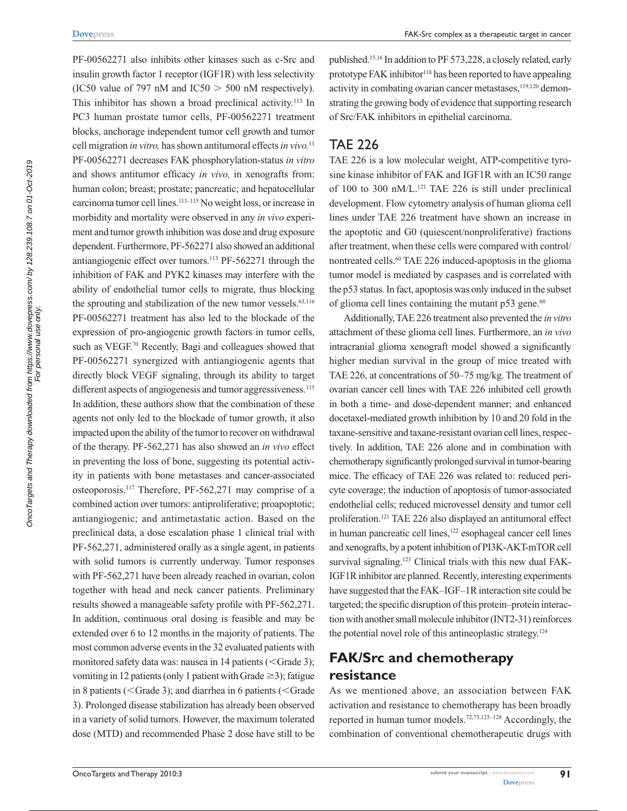PF-00562271 also inhibits other kinases such as c-Src and insulin growth factor 1 receptor (IGF1R) with less selectivity (IC50 value of 797 nM and IC50  $>$  500 nM respectively). This inhibitor has shown a broad preclinical activity.113 In PC3 human prostate tumor cells, PF-00562271 treatment blocks, anchorage independent tumor cell growth and tumor cell migration *in vitro,* has shown antitumoral effects *in vivo.*<sup>11</sup> PF-00562271 decreases FAK phosphorylation-status *in vitro* and shows antitumor efficacy *in vivo,* in xenografts from: human colon; breast; prostate; pancreatic; and hepatocellular carcinoma tumor cell lines.113–115 No weight loss, or increase in morbidity and mortality were observed in any *in vivo* experiment and tumor growth inhibition was dose and drug exposure dependent. Furthermore, PF-562271 also showed an additional antiangiogenic effect over tumors.113 PF-562271 through the inhibition of FAK and PYK2 kinases may interfere with the ability of endothelial tumor cells to migrate, thus blocking the sprouting and stabilization of the new tumor vessels.<sup>63,116</sup> PF-00562271 treatment has also led to the blockade of the expression of pro-angiogenic growth factors in tumor cells, such as VEGF.<sup>70</sup> Recently, Bagi and colleagues showed that PF-00562271 synergized with antiangiogenic agents that directly block VEGF signaling, through its ability to target different aspects of angiogenesis and tumor aggressiveness.<sup>115</sup> In addition, these authors show that the combination of these agents not only led to the blockade of tumor growth, it also impacted upon the ability of the tumor to recover on withdrawal of the therapy. PF-562,271 has also showed an *in vivo* effect in preventing the loss of bone, suggesting its potential activity in patients with bone metastases and cancer-associated osteoporosis.117 Therefore, PF-562,271 may comprise of a combined action over tumors: antiproliferative; proapoptotic; antiangiogenic; and antimetastatic action. Based on the preclinical data, a dose escalation phase 1 clinical trial with PF-562,271, administered orally as a single agent, in patients with solid tumors is currently underway. Tumor responses with PF-562,271 have been already reached in ovarian, colon together with head and neck cancer patients. Preliminary results showed a manageable safety profile with PF-562,271. In addition, continuous oral dosing is feasible and may be extended over 6 to 12 months in the majority of patients. The most common adverse events in the 32 evaluated patients with monitored safety data was: nausea in  $14$  patients (<Grade 3); vomiting in 12 patients (only 1 patient with Grade  $\geq$ 3); fatigue in 8 patients ( $\leq$ Grade 3); and diarrhea in 6 patients ( $\leq$ Grade 3). Prolonged disease stabilization has already been observed in a variety of solid tumors. However, the maximum tolerated dose (MTD) and recommended Phase 2 dose have still to be

published.15,16 In addition to PF 573,228, a closely related, early prototype FAK inhibitor<sup>118</sup> has been reported to have appealing activity in combating ovarian cancer metastases,<sup>119,120</sup> demonstrating the growing body of evidence that supporting research of Src/FAK inhibitors in epithelial carcinoma.

### TAE 226

TAE 226 is a low molecular weight, ATP-competitive tyrosine kinase inhibitor of FAK and IGF1R with an IC50 range of 100 to 300 nM/L.121 TAE 226 is still under preclinical development. Flow cytometry analysis of human glioma cell lines under TAE 226 treatment have shown an increase in the apoptotic and G0 (quiescent/nonproliferative) fractions after treatment, when these cells were compared with control/ nontreated cells.<sup>60</sup> TAE 226 induced-apoptosis in the glioma tumor model is mediated by caspases and is correlated with the p53 status. In fact, apoptosis was only induced in the subset of glioma cell lines containing the mutant p53 gene.<sup>60</sup>

Additionally, TAE 226 treatment also prevented the *in vitro* attachment of these glioma cell lines. Furthermore, an *in vivo* intracranial glioma xenograft model showed a significantly higher median survival in the group of mice treated with TAE 226, at concentrations of 50–75 mg/kg. The treatment of ovarian cancer cell lines with TAE 226 inhibited cell growth in both a time- and dose-dependent manner; and enhanced docetaxel-mediated growth inhibition by 10 and 20 fold in the taxane-sensitive and taxane-resistant ovarian cell lines, respectively. In addition, TAE 226 alone and in combination with chemotherapy significantly prolonged survival in tumor-bearing mice. The efficacy of TAE 226 was related to: reduced pericyte coverage; the induction of apoptosis of tumor-associated endothelial cells; reduced microvessel density and tumor cell proliferation.121 TAE 226 also displayed an antitumoral effect in human pancreatic cell lines,<sup>122</sup> esophageal cancer cell lines and xenografts, by a potent inhibition of PI3K-AKT-mTOR cell survival signaling.<sup>123</sup> Clinical trials with this new dual FAK-IGF1R inhibitor are planned. Recently, interesting experiments have suggested that the FAK–IGF–1R interaction site could be targeted; the specific disruption of this protein–protein interaction with another small molecule inhibitor (INT2-31) reinforces the potential novel role of this antineoplastic strategy.124

# **FAK/Src and chemotherapy resistance**

As we mentioned above, an association between FAK activation and resistance to chemotherapy has been broadly reported in human tumor models.72,73,125–128 Accordingly, the combination of conventional chemotherapeutic drugs with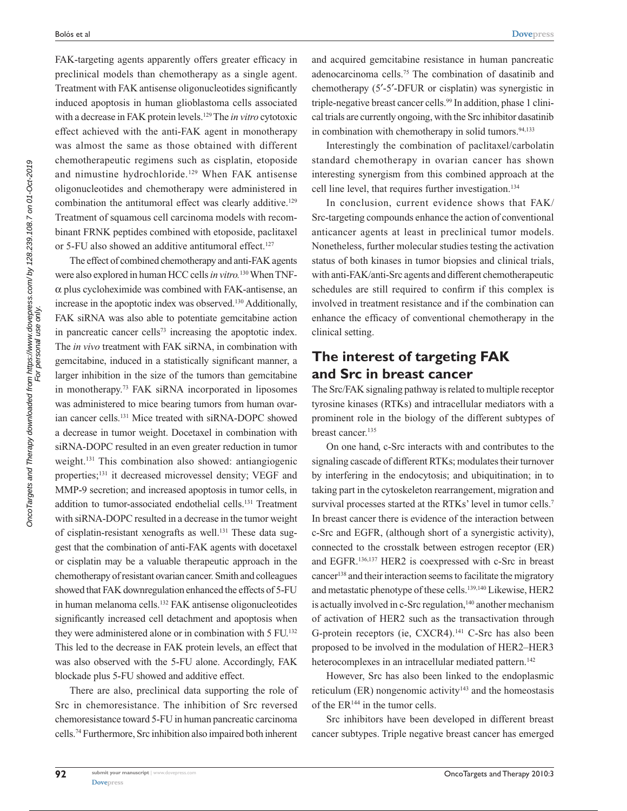FAK-targeting agents apparently offers greater efficacy in preclinical models than chemotherapy as a single agent. Treatment with FAK antisense oligonucleotides significantly induced apoptosis in human glioblastoma cells associated with a decrease in FAK protein levels.129 The *in vitro* cytotoxic effect achieved with the anti-FAK agent in monotherapy was almost the same as those obtained with different chemotherapeutic regimens such as cisplatin, etoposide and nimustine hydrochloride.129 When FAK antisense oligonucleotides and chemotherapy were administered in combination the antitumoral effect was clearly additive.<sup>129</sup> Treatment of squamous cell carcinoma models with recombinant FRNK peptides combined with etoposide, paclitaxel or 5-FU also showed an additive antitumoral effect.<sup>127</sup>

The effect of combined chemotherapy and anti-FAK agents were also explored in human HCC cells *in vitro.*130 When TNFα plus cycloheximide was combined with FAK-antisense, an increase in the apoptotic index was observed.130 Additionally, FAK siRNA was also able to potentiate gemcitabine action in pancreatic cancer cells<sup>73</sup> increasing the apoptotic index. The *in vivo* treatment with FAK siRNA, in combination with gemcitabine, induced in a statistically significant manner, a larger inhibition in the size of the tumors than gemcitabine in monotherapy.73 FAK siRNA incorporated in liposomes was administered to mice bearing tumors from human ovarian cancer cells.<sup>131</sup> Mice treated with siRNA-DOPC showed a decrease in tumor weight. Docetaxel in combination with siRNA-DOPC resulted in an even greater reduction in tumor weight.<sup>131</sup> This combination also showed: antiangiogenic properties;<sup>131</sup> it decreased microvessel density; VEGF and MMP-9 secretion; and increased apoptosis in tumor cells, in addition to tumor-associated endothelial cells.<sup>131</sup> Treatment with siRNA-DOPC resulted in a decrease in the tumor weight of cisplatin-resistant xenografts as well.<sup>131</sup> These data suggest that the combination of anti-FAK agents with docetaxel or cisplatin may be a valuable therapeutic approach in the chemotherapy of resistant ovarian cancer. Smith and colleagues showed that FAK downregulation enhanced the effects of 5-FU in human melanoma cells.132 FAK antisense oligonucleotides significantly increased cell detachment and apoptosis when they were administered alone or in combination with 5 FU.<sup>132</sup> This led to the decrease in FAK protein levels, an effect that was also observed with the 5-FU alone. Accordingly, FAK blockade plus 5-FU showed and additive effect.

There are also, preclinical data supporting the role of Src in chemoresistance. The inhibition of Src reversed chemoresistance toward 5-FU in human pancreatic carcinoma cells.74 Furthermore, Src inhibition also impaired both inherent

and acquired gemcitabine resistance in human pancreatic adenocarcinoma cells.75 The combination of dasatinib and chemotherapy (5′-5′-DFUR or cisplatin) was synergistic in triple-negative breast cancer cells.<sup>99</sup> In addition, phase 1 clinical trials are currently ongoing, with the Src inhibitor dasatinib in combination with chemotherapy in solid tumors. $94,133$ 

Interestingly the combination of paclitaxel/carbolatin standard chemotherapy in ovarian cancer has shown interesting synergism from this combined approach at the cell line level, that requires further investigation.134

In conclusion, current evidence shows that FAK/ Src-targeting compounds enhance the action of conventional anticancer agents at least in preclinical tumor models. Nonetheless, further molecular studies testing the activation status of both kinases in tumor biopsies and clinical trials, with anti-FAK/anti-Src agents and different chemotherapeutic schedules are still required to confirm if this complex is involved in treatment resistance and if the combination can enhance the efficacy of conventional chemotherapy in the clinical setting.

# **The interest of targeting FAK and Src in breast cancer**

The Src/FAK signaling pathway is related to multiple receptor tyrosine kinases (RTKs) and intracellular mediators with a prominent role in the biology of the different subtypes of breast cancer.<sup>135</sup>

On one hand, c-Src interacts with and contributes to the signaling cascade of different RTKs; modulates their turnover by interfering in the endocytosis; and ubiquitination; in to taking part in the cytoskeleton rearrangement, migration and survival processes started at the RTKs' level in tumor cells.<sup>7</sup> In breast cancer there is evidence of the interaction between c-Src and EGFR, (although short of a synergistic activity), connected to the crosstalk between estrogen receptor (ER) and EGFR.136,137 HER2 is coexpressed with c-Src in breast cancer138 and their interaction seems to facilitate the migratory and metastatic phenotype of these cells.<sup>139,140</sup> Likewise, HER2 is actually involved in c-Src regulation,<sup>140</sup> another mechanism of activation of HER2 such as the transactivation through G-protein receptors (ie, CXCR4).<sup>141</sup> C-Src has also been proposed to be involved in the modulation of HER2–HER3 heterocomplexes in an intracellular mediated pattern.<sup>142</sup>

However, Src has also been linked to the endoplasmic reticulum (ER) nongenomic activity<sup>143</sup> and the homeostasis of the ER144 in the tumor cells.

Src inhibitors have been developed in different breast cancer subtypes. Triple negative breast cancer has emerged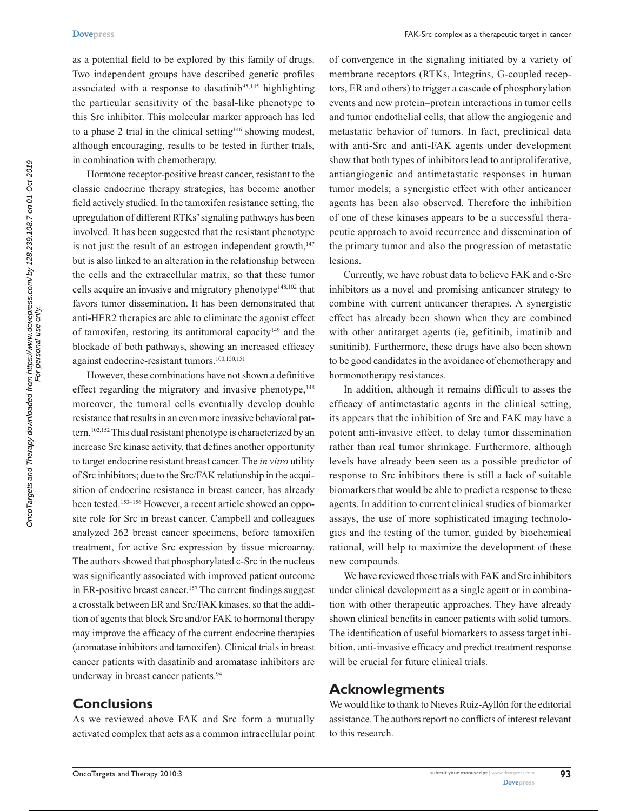as a potential field to be explored by this family of drugs. Two independent groups have described genetic profiles associated with a response to dasatinib $95,145$  highlighting the particular sensitivity of the basal-like phenotype to this Src inhibitor. This molecular marker approach has led to a phase 2 trial in the clinical setting<sup>146</sup> showing modest, although encouraging, results to be tested in further trials, in combination with chemotherapy.

Hormone receptor-positive breast cancer, resistant to the classic endocrine therapy strategies, has become another field actively studied. In the tamoxifen resistance setting, the upregulation of different RTKs' signaling pathways has been involved. It has been suggested that the resistant phenotype is not just the result of an estrogen independent growth,<sup>147</sup> but is also linked to an alteration in the relationship between the cells and the extracellular matrix, so that these tumor cells acquire an invasive and migratory phenotype $148,102$  that favors tumor dissemination. It has been demonstrated that anti-HER2 therapies are able to eliminate the agonist effect of tamoxifen, restoring its antitumoral capacity<sup>149</sup> and the blockade of both pathways, showing an increased efficacy against endocrine-resistant tumors.100,150,151

However, these combinations have not shown a definitive effect regarding the migratory and invasive phenotype,<sup>148</sup> moreover, the tumoral cells eventually develop double resistance that results in an even more invasive behavioral pattern.102,152 This dual resistant phenotype is characterized by an increase Src kinase activity, that defines another opportunity to target endocrine resistant breast cancer. The *in vitro* utility of Src inhibitors; due to the Src/FAK relationship in the acquisition of endocrine resistance in breast cancer, has already been tested.<sup>153–156</sup> However, a recent article showed an opposite role for Src in breast cancer. Campbell and colleagues analyzed 262 breast cancer specimens, before tamoxifen treatment, for active Src expression by tissue microarray. The authors showed that phosphorylated c-Src in the nucleus was significantly associated with improved patient outcome in ER-positive breast cancer.<sup>157</sup> The current findings suggest a crosstalk between ER and Src/FAK kinases, so that the addition of agents that block Src and/or FAK to hormonal therapy may improve the efficacy of the current endocrine therapies (aromatase inhibitors and tamoxifen). Clinical trials in breast cancer patients with dasatinib and aromatase inhibitors are underway in breast cancer patients.<sup>94</sup>

# **Conclusions**

As we reviewed above FAK and Src form a mutually activated complex that acts as a common intracellular point of convergence in the signaling initiated by a variety of membrane receptors (RTKs, Integrins, G-coupled receptors, ER and others) to trigger a cascade of phosphorylation events and new protein–protein interactions in tumor cells and tumor endothelial cells, that allow the angiogenic and metastatic behavior of tumors. In fact, preclinical data with anti-Src and anti-FAK agents under development show that both types of inhibitors lead to antiproliferative, antiangiogenic and antimetastatic responses in human tumor models; a synergistic effect with other anticancer agents has been also observed. Therefore the inhibition of one of these kinases appears to be a successful therapeutic approach to avoid recurrence and dissemination of the primary tumor and also the progression of metastatic lesions.

Currently, we have robust data to believe FAK and c-Src inhibitors as a novel and promising anticancer strategy to combine with current anticancer therapies. A synergistic effect has already been shown when they are combined with other antitarget agents (ie, gefitinib, imatinib and sunitinib). Furthermore, these drugs have also been shown to be good candidates in the avoidance of chemotherapy and hormonotherapy resistances.

In addition, although it remains difficult to asses the efficacy of antimetastatic agents in the clinical setting, its appears that the inhibition of Src and FAK may have a potent anti-invasive effect, to delay tumor dissemination rather than real tumor shrinkage. Furthermore, although levels have already been seen as a possible predictor of response to Src inhibitors there is still a lack of suitable biomarkers that would be able to predict a response to these agents. In addition to current clinical studies of biomarker assays, the use of more sophisticated imaging technologies and the testing of the tumor, guided by biochemical rational, will help to maximize the development of these new compounds.

We have reviewed those trials with FAK and Src inhibitors under clinical development as a single agent or in combination with other therapeutic approaches. They have already shown clinical benefits in cancer patients with solid tumors. The identification of useful biomarkers to assess target inhibition, anti-invasive efficacy and predict treatment response will be crucial for future clinical trials.

# **Acknowlegments**

We would like to thank to Nieves Ruíz-Ayllón for the editorial assistance. The authors report no conflicts of interest relevant to this research.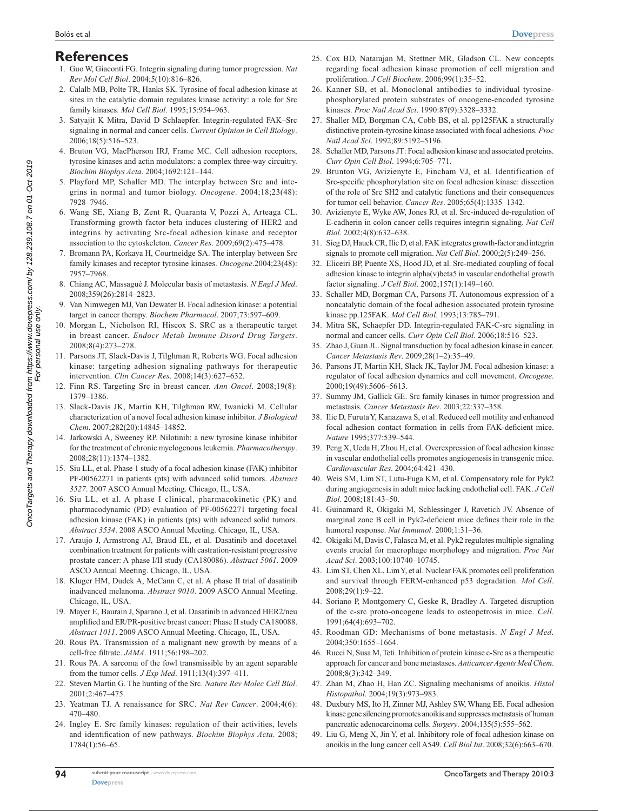OncoTargets and Therapy downloaded from https://www.dovepress.com/ by 128.239.108.7 on 01-Oct-2019<br>For personal use only. OncoTargets and Therapy downloaded from https://www.dovepress.com/ by 128.239.108.7 on 01-Oct-2019 For personal use only.

#### **References**

- 1. Guo W, Giaconti FG. Integrin signaling during tumor progression. *Nat Rev Mol Cell Biol*. 2004;5(10):816–826.
- 2. Calalb MB, Polte TR, Hanks SK. Tyrosine of focal adhesion kinase at sites in the catalytic domain regulates kinase activity: a role for Src family kinases. *Mol Cell Biol*. 1995;15:954–963.
- 3. Satyajit K Mitra, David D Schlaepfer. Integrin-regulated FAK–Src signaling in normal and cancer cells. *Current Opinion in Cell Biology*. 2006;18(5):516–523.
- 4. Bruton VG, MacPherson IRJ, Frame MC. Cell adhesion receptors, tyrosine kinases and actin modulators: a complex three-way circuitry. *Biochim Biophys Acta*. 2004;1692:121–144.
- 5. Playford MP, Schaller MD. The interplay between Src and integrins in normal and tumor biology. *Oncogene*. 2004;18;23(48): 7928–7946.
- 6. Wang SE, Xiang B, Zent R, Quaranta V, Pozzi A, Arteaga CL. Transforming growth factor beta induces clustering of HER2 and integrins by activating Src-focal adhesion kinase and receptor association to the cytoskeleton. *Cancer Res*. 2009;69(2):475–478.
- 7. Bromann PA, Korkaya H, Courtneidge SA. The interplay between Src family kinases and receptor tyrosine kinases. *Oncogene*.2004;23(48): 7957–7968.
- 8. Chiang AC, Massagué J. Molecular basis of metastasis. *N Engl J Med*. 2008;359(26):2814–2823.
- 9. Van Nimwegen MJ, Van Dewater B. Focal adhesion kinase: a potential target in cancer therapy. *Biochem Pharmacol*. 2007;73:597–609.
- 10. Morgan L, Nicholson RI, Hiscox S. SRC as a therapeutic target in breast cancer. *Endocr Metab Immune Disord Drug Targets*. 2008;8(4):273–278.
- 11. Parsons JT, Slack-Davis J, Tilghman R, Roberts WG. Focal adhesion kinase: targeting adhesion signaling pathways for therapeutic intervention. *Clin Cancer Res*. 2008;14(3):627–632.
- 12. Finn RS. Targeting Src in breast cancer. *Ann Oncol*. 2008;19(8): 1379–1386.
- 13. Slack-Davis JK, Martin KH, Tilghman RW, Iwanicki M. Cellular characterization of a novel focal adhesion kinase inhibitor. *J Biological Chem*. 2007;282(20):14845–14852.
- 14. Jarkowski A, Sweeney RP. Nilotinib: a new tyrosine kinase inhibitor for the treatment of chronic myelogenous leukemia. *Pharmacotherapy*. 2008;28(11):1374–1382.
- 15. Siu LL, et al. Phase 1 study of a focal adhesion kinase (FAK) inhibitor PF-00562271 in patients (pts) with advanced solid tumors. *Abstract 3527*. 2007 ASCO Annual Meeting. Chicago, IL, USA.
- 16. Siu LL, et al. A phase I clinical, pharmacokinetic (PK) and pharmacodynamic (PD) evaluation of PF-00562271 targeting focal adhesion kinase (FAK) in patients (pts) with advanced solid tumors. *Abstract 3534*. 2008 ASCO Annual Meeting. Chicago, IL, USA.
- 17. Araujo J, Armstrong AJ, Braud EL, et al. Dasatinib and docetaxel combination treatment for patients with castration-resistant progressive prostate cancer: A phase I/II study (CA180086). *Abstract 5061*. 2009 ASCO Annual Meeting. Chicago, IL, USA.
- 18. Kluger HM, Dudek A, McCann C, et al. A phase II trial of dasatinib inadvanced melanoma. *Abstract 9010*. 2009 ASCO Annual Meeting. Chicago, IL, USA.
- 19. Mayer E, Baurain J, Sparano J, et al. Dasatinib in advanced HER2/neu amplified and ER/PR-positive breast cancer: Phase II study CA180088. *Abstract 1011*. 2009 ASCO Annual Meeting. Chicago, IL, USA.
- 20. Rous PA. Transmission of a malignant new growth by means of a cell-free filtrate. *JAMA*. 1911;56:198–202.
- 21. Rous PA. A sarcoma of the fowl transmissible by an agent separable from the tumor cells. *J Exp Med*. 1911;13(4):397–411.
- 22. Steven Martin G. The hunting of the Src. *Nature Rev Molec Cell Biol*. 2001;2:467–475.
- 23. Yeatman TJ. A renaissance for SRC. *Nat Rev Cancer*. 2004;4(6): 470–480.
- 24. Ingley E. Src family kinases: regulation of their activities, levels and identification of new pathways. *Biochim Biophys Acta*. 2008; 1784(1):56–65.
- 25. Cox BD, Natarajan M, Stettner MR, Gladson CL. New concepts regarding focal adhesion kinase promotion of cell migration and proliferation. *J Cell Biochem*. 2006;99(1):35–52.
- 26. Kanner SB, et al. Monoclonal antibodies to individual tyrosinephosphorylated protein substrates of oncogene-encoded tyrosine kinases. *Proc Natl Acad Sci*. 1990:87(9):3328–3332.
- 27. Shaller MD, Borgman CA, Cobb BS, et al. pp125FAK a structurally distinctive protein-tyrosine kinase associated with focal adhesions. *Proc Natl Acad Sci*. 1992;89:5192–5196.
- 28. Schaller MD, Parsons JT: Focal adhesion kinase and associated proteins. *Curr Opin Cell Biol*. 1994;6:705–771.
- 29. Brunton VG, Avizienyte E, Fincham VJ, et al. Identification of Src-specific phosphorylation site on focal adhesion kinase: dissection of the role of Src SH2 and catalytic functions and their consequences for tumor cell behavior. *Cancer Res*. 2005;65(4):1335–1342.
- 30. Avizienyte E, Wyke AW, Jones RJ, et al. Src-induced de-regulation of E-cadherin in colon cancer cells requires integrin signaling. *Nat Cell Biol*. 2002;4(8):632–638.
- 31. Sieg DJ, Hauck CR, Ilic D, et al. FAK integrates growth-factor and integrin signals to promote cell migration. *Nat Cell Biol*. 2000;2(5):249–256.
- 32. Eliceiri BP, Puente XS, Hood JD, et al. Src-mediated coupling of focal adhesion kinase to integrin alpha(v)beta5 in vascular endothelial growth factor signaling. *J Cell Biol*. 2002;157(1):149–160.
- 33. Schaller MD, Borgman CA, Parsons JT. Autonomous expression of a noncatalytic domain of the focal adhesion associated protein tyrosine kinase pp.125FAK. *Mol Cell Biol*. 1993;13:785–791.
- 34. Mitra SK, Schaepfer DD. Integrin-regulated FAK-C-src signaling in normal and cancer cells. *Curr Opin Cell Biol*. 2006;18:516–523.
- 35. Zhao J, Guan JL. Signal transduction by focal adhesion kinase in cancer. *Cancer Metastasis Rev*. 2009;28(1–2):35–49.
- 36. Parsons JT, Martin KH, Slack JK, Taylor JM. Focal adhesion kinase: a regulator of focal adhesion dynamics and cell movement. *Oncogene*. 2000;19(49):5606–5613.
- 37. Summy JM, Gallick GE. Src family kinases in tumor progression and metastasis. *Cancer Metastasis Rev*. 2003;22:337–358.
- 38. Ilic D, Furuta Y, Kanazawa S, et al. Reduced cell motility and enhanced focal adhesion contact formation in cells from FAK-deficient mice. *Nature* 1995;377:539–544.
- 39. Peng X, Ueda H, Zhou H, et al. Overexpression of focal adhesion kinase in vascular endothelial cells promotes angiogenesis in transgenic mice. *Cardiovascular Res*. 2004;64:421–430.
- 40. Weis SM, Lim ST, Lutu-Fuga KM, et al. Compensatory role for Pyk2 during angiogenesis in adult mice lacking endothelial cell. FAK. *J Cell Biol*. 2008;181:43–50.
- 41. Guinamard R, Okigaki M, Schlessinger J, Ravetich JV. Absence of marginal zone B cell in Pyk2-deficient mice defines their role in the humoral response. *Nat Immunol*. 2000;1:31–36.
- 42. Okigaki M, Davis C, Falasca M, et al. Pyk2 regulates multiple signaling events crucial for macrophage morphology and migration. *Proc Nat Acad Sci*. 2003;100:10740–10745.
- 43. Lim ST, Chen XL, Lim Y, et al. Nuclear FAK promotes cell proliferation and survival through FERM-enhanced p53 degradation. *Mol Cell*. 2008;29(1):9–22.
- 44. Soriano P, Montgomery C, Geske R, Bradley A. Targeted disruption of the c-src proto-oncogene leads to osteopetrosis in mice. *Cell*. 1991;64(4):693–702.
- 45. Roodman GD: Mechanisms of bone metastasis. *N Engl J Med*. 2004;350:1655–1664.
- 46. Rucci N, Susa M, Teti. Inhibition of protein kinase c-Src as a therapeutic approach for cancer and bone metastases. *Anticancer Agents Med Chem*. 2008;8(3):342–349.
- 47. Zhan M, Zhao H, Han ZC. Signaling mechanisms of anoikis. *Histol Histopathol*. 2004;19(3):973–983.
- 48. Duxbury MS, Ito H, Zinner MJ, Ashley SW, Whang EE. Focal adhesion kinase gene silencing promotes anoikis and suppresses metastasis of human pancreatic adenocarcinoma cells. *Surgery*. 2004;135(5):555–562.
- 49. Liu G, Meng X, Jin Y, et al. Inhibitory role of focal adhesion kinase on anoikis in the lung cancer cell A549. *Cell Biol Int*. 2008;32(6):663–670.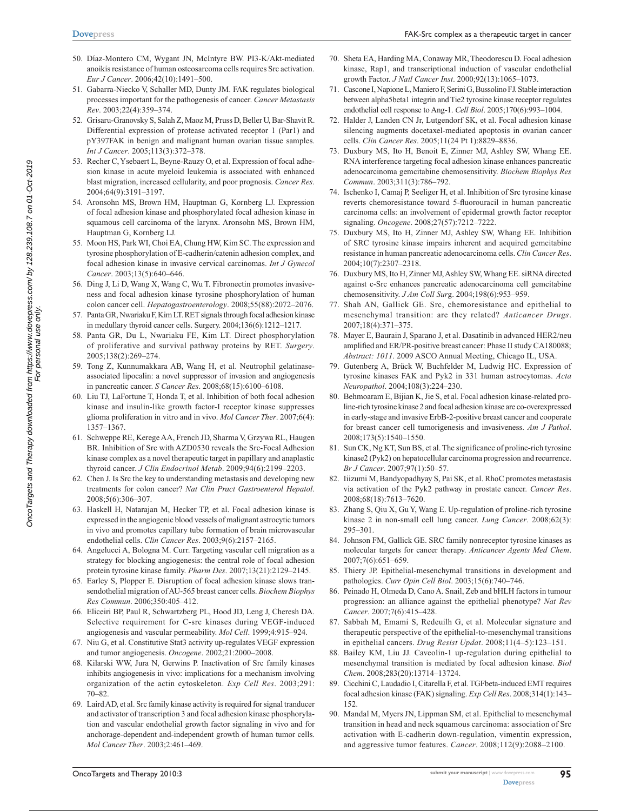- 50. Díaz-Montero CM, Wygant JN, McIntyre BW. PI3-K/Akt-mediated anoikis resistance of human osteosarcoma cells requires Src activation. *Eur J Cancer*. 2006;42(10):1491–500.
- 51. Gabarra-Niecko V, Schaller MD, Dunty JM. FAK regulates biological processes important for the pathogenesis of cancer. *Cancer Metastasis Rev*. 2003;22(4):359–374.
- 52. Grisaru-Granovsky S, Salah Z, Maoz M, Pruss D, Beller U, Bar-Shavit R. Differential expression of protease activated receptor 1 (Par1) and pY397FAK in benign and malignant human ovarian tissue samples. *Int J Cancer*. 2005;113(3):372–378.
- 53. Recher C, Ysebaert L, Beyne-Rauzy O, et al. Expression of focal adhesion kinase in acute myeloid leukemia is associated with enhanced blast migration, increased cellularity, and poor prognosis. *Cancer Res*. 2004;64(9):3191–3197.
- 54. Aronsohn MS, Brown HM, Hauptman G, Kornberg LJ. Expression of focal adhesion kinase and phosphorylated focal adhesion kinase in squamous cell carcinoma of the larynx. Aronsohn MS, Brown HM, Hauptman G, Kornberg LJ.
- 55. Moon HS, Park WI, Choi EA, Chung HW, Kim SC. The expression and tyrosine phosphorylation of E-cadherin/catenin adhesion complex, and focal adhesion kinase in invasive cervical carcinomas. *Int J Gynecol Cancer*. 2003;13(5):640–646.
- 56. Ding J, Li D, Wang X, Wang C, Wu T. Fibronectin promotes invasiveness and focal adhesion kinase tyrosine phosphorylation of human colon cancer cell. *Hepatogastroenterology*. 2008;55(88):2072–2076.
- 57. Panta GR, Nwariaku F, Kim LT. RET signals through focal adhesion kinase in medullary thyroid cancer cells. Surgery. 2004;136(6):1212–1217.
- 58. Panta GR, Du L, Nwariaku FE, Kim LT. Direct phosphorylation of proliferative and survival pathway proteins by RET. *Surgery*. 2005;138(2):269–274.
- 59. Tong Z, Kunnumakkara AB, Wang H, et al. Neutrophil gelatinaseassociated lipocalin: a novel suppressor of invasion and angiogenesis in pancreatic cancer. *S Cancer Res*. 2008;68(15):6100–6108.
- 60. Liu TJ, LaFortune T, Honda T, et al. Inhibition of both focal adhesion kinase and insulin-like growth factor-I receptor kinase suppresses glioma proliferation in vitro and in vivo. *Mol Cancer Ther*. 2007;6(4): 1357–1367.
- 61. Schweppe RE, Kerege AA, French JD, Sharma V, Grzywa RL, Haugen BR. Inhibition of Src with AZD0530 reveals the Src-Focal Adhesion kinase complex as a novel therapeutic target in papillary and anaplastic thyroid cancer. *J Clin Endocrinol Metab*. 2009;94(6):2199–2203.
- 62. Chen J. Is Src the key to understanding metastasis and developing new treatments for colon cancer? *Nat Clin Pract Gastroenterol Hepatol*. 2008;5(6):306–307.
- 63. Haskell H, Natarajan M, Hecker TP, et al. Focal adhesion kinase is expressed in the angiogenic blood vessels of malignant astrocytic tumors in vivo and promotes capillary tube formation of brain microvascular endothelial cells. *Clin Cancer Res*. 2003;9(6):2157–2165.
- 64. Angelucci A, Bologna M. Curr. Targeting vascular cell migration as a strategy for blocking angiogenesis: the central role of focal adhesion protein tyrosine kinase family. *Pharm Des*. 2007;13(21):2129–2145.
- 65. Earley S, Plopper E. Disruption of focal adhesion kinase slows transendothelial migration of AU-565 breast cancer cells. *Biochem Biophys Res Commun*. 2006;350:405–412.
- 66. Eliceiri BP, Paul R, Schwartzberg PL, Hood JD, Leng J, Cheresh DA. Selective requirement for C-src kinases during VEGF-induced angiogenesis and vascular permeability. *Mol Cell*. 1999;4:915–924.
- 67. Niu G, et al. Constitutive Stat3 activity up-regulates VEGF expression and tumor angiogenesis. *Oncogene*. 2002;21:2000–2008.
- 68. Kilarski WW, Jura N, Gerwins P. Inactivation of Src family kinases inhibits angiogenesis in vivo: implications for a mechanism involving organization of the actin cytoskeleton. *Exp Cell Res*. 2003;291: 70–82.
- 69. Laird AD, et al. Src family kinase activity is required for signal tranducer and activator of transcription 3 and focal adhesion kinase phosphorylation and vascular endothelial growth factor signaling in vivo and for anchorage-dependent and-independent growth of human tumor cells. *Mol Cancer Ther*. 2003;2:461–469.
- 70. Sheta EA, Harding MA, Conaway MR, Theodorescu D. Focal adhesion kinase, Rap1, and transcriptional induction of vascular endothelial growth Factor. *J Natl Cancer Inst*. 2000;92(13):1065–1073.
- 71. Cascone I, Napione L, Maniero F, Serini G, Bussolino FJ. Stable interaction between alpha5beta1 integrin and Tie2 tyrosine kinase receptor regulates endothelial cell response to Ang-1. *Cell Biol*. 2005;170(6):993–1004.
- 72. Halder J, Landen CN Jr, Lutgendorf SK, et al. Focal adhesion kinase silencing augments docetaxel-mediated apoptosis in ovarian cancer cells. *Clin Cancer Res*. 2005;11(24 Pt 1):8829–8836.
- 73. Duxbury MS, Ito H, Benoit E, Zinner MJ, Ashley SW, Whang EE. RNA interference targeting focal adhesion kinase enhances pancreatic adenocarcinoma gemcitabine chemosensitivity. *Biochem Biophys Res Commun*. 2003;311(3):786–792.
- 74. Ischenko I, Camaj P, Seeliger H, et al. Inhibition of Src tyrosine kinase reverts chemoresistance toward 5-fluorouracil in human pancreatic carcinoma cells: an involvement of epidermal growth factor receptor signaling. *Oncogene*. 2008;27(57):7212–7222.
- 75. Duxbury MS, Ito H, Zinner MJ, Ashley SW, Whang EE. Inhibition of SRC tyrosine kinase impairs inherent and acquired gemcitabine resistance in human pancreatic adenocarcinoma cells. *Clin Cancer Res*. 2004;10(7):2307–2318.
- 76. Duxbury MS, Ito H, Zinner MJ, Ashley SW, Whang EE. siRNA directed against c-Src enhances pancreatic adenocarcinoma cell gemcitabine chemosensitivity. *J Am Coll Sur*g. 2004;198(6):953–959.
- 77. Shah AN, Gallick GE. Src, chemoresistance and epithelial to mesenchymal transition: are they related? *Anticancer Drugs*. 2007;18(4):371–375.
- 78. Mayer E, Baurain J, Sparano J, et al. Dasatinib in advanced HER2/neu amplified and ER/PR-positive breast cancer: Phase II study CA180088; *Abstract: 1011*. 2009 ASCO Annual Meeting, Chicago IL, USA.
- 79. Gutenberg A, Brück W, Buchfelder M, Ludwig HC. Expression of tyrosine kinases FAK and Pyk2 in 331 human astrocytomas. *Acta Neuropathol*. 2004;108(3):224–230.
- 80. Behmoaram E, Bijian K, Jie S, et al. Focal adhesion kinase-related proline-rich tyrosine kinase 2 and focal adhesion kinase are co-overexpressed in early-stage and invasive ErbB-2-positive breast cancer and cooperate for breast cancer cell tumorigenesis and invasiveness. *Am J Pathol*. 2008;173(5):1540–1550.
- 81. Sun CK, Ng KT, Sun BS, et al. The significance of proline-rich tyrosine kinase2 (Pyk2) on hepatocellular carcinoma progression and recurrence. *Br J Cancer*. 2007;97(1):50–57.
- 82. Iiizumi M, Bandyopadhyay S, Pai SK, et al. RhoC promotes metastasis via activation of the Pyk2 pathway in prostate cancer. *Cancer Res*. 2008;68(18):7613–7620.
- 83. Zhang S, Qiu X, Gu Y, Wang E. Up-regulation of proline-rich tyrosine kinase 2 in non-small cell lung cancer. *Lung Cancer*. 2008;62(3): 295–301.
- 84. Johnson FM, Gallick GE. SRC family nonreceptor tyrosine kinases as molecular targets for cancer therapy. *Anticancer Agents Med Chem*. 2007;7(6):651–659.
- 85. Thiery JP. Epithelial-mesenchymal transitions in development and pathologies. *Curr Opin Cell Biol*. 2003;15(6):740–746.
- 86. Peinado H, Olmeda D, Cano A. Snail, Zeb and bHLH factors in tumour progression: an alliance against the epithelial phenotype? *Nat Rev Cancer*. 2007;7(6):415–428.
- 87. Sabbah M, Emami S, Redeuilh G, et al. Molecular signature and therapeutic perspective of the epithelial-to-mesenchymal transitions in epithelial cancers. *Drug Resist Updat*. 2008;11(4–5):123–151.
- 88. Bailey KM, Liu JJ. Caveolin-1 up-regulation during epithelial to mesenchymal transition is mediated by focal adhesion kinase. *Biol Chem*. 2008;283(20):13714–13724.
- 89. Cicchini C, Laudadio I, Citarella F, et al. TGFbeta-induced EMT requires focal adhesion kinase (FAK) signaling. *Exp Cell Res*. 2008;314(1):143– 152.
- 90. Mandal M, Myers JN, Lippman SM, et al. Epithelial to mesenchymal transition in head and neck squamous carcinoma: association of Src activation with E-cadherin down-regulation, vimentin expression, and aggressive tumor features. *Cancer*. 2008;112(9):2088–2100.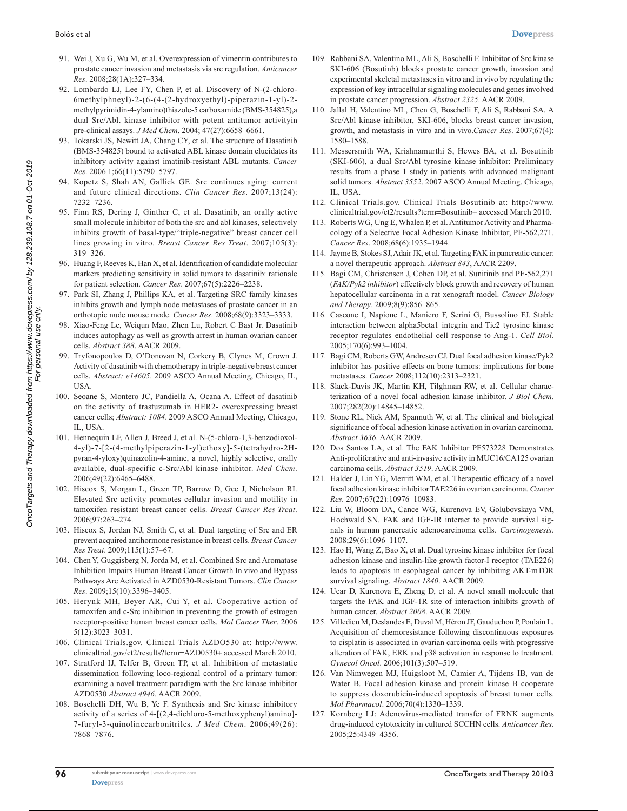- 91. Wei J, Xu G, Wu M, et al. Overexpression of vimentin contributes to prostate cancer invasion and metastasis via src regulation. *Anticancer Res*. 2008;28(1A):327–334.
- 92. Lombardo LJ, Lee FY, Chen P, et al. Discovery of N-(2-chloro-6methylphneyl)-2-(6-(4-(2-hydroxyethyl)-piperazin-1-yl)-2 methylpyrimidin-4-ylamino)thiazole-5 carboxamide (BMS-354825),a dual Src/Abl. kinase inhibitor with potent antitumor activityin pre-clinical assays. *J Med Chem*. 2004; 47(27):6658–6661.
- 93. Tokarski JS, Newitt JA, Chang CY, et al. The structure of Dasatinib (BMS-354825) bound to activated ABL kinase domain elucidates its inhibitory activity against imatinib-resistant ABL mutants. *Cancer Res*. 2006 1;66(11):5790–5797.
- 94. Kopetz S, Shah AN, Gallick GE. Src continues aging: current and future clinical directions. *Clin Cancer Res*. 2007;13(24): 7232–7236.
- 95. Finn RS, Dering J, Ginther C, et al. Dasatinib, an orally active small molecule inhibitor of both the src and abl kinases, selectively inhibits growth of basal-type/"triple-negative" breast cancer cell lines growing in vitro. *Breast Cancer Res Treat*. 2007;105(3): 319–326.
- 96. Huang F, Reeves K, Han X, et al. Identification of candidate molecular markers predicting sensitivity in solid tumors to dasatinib: rationale for patient selection. *Cancer Res*. 2007;67(5):2226–2238.
- 97. Park SI, Zhang J, Phillips KA, et al. Targeting SRC family kinases inhibits growth and lymph node metastases of prostate cancer in an orthotopic nude mouse mode. *Cancer Res*. 2008;68(9):3323–3333.
- 98. Xiao-Feng Le, Weiqun Mao, Zhen Lu, Robert C Bast Jr. Dasatinib induces autophagy as well as growth arrest in human ovarian cancer cells. *Abstract 388*. AACR 2009.
- 99. Tryfonopoulos D, O'Donovan N, Corkery B, Clynes M, Crown J. Activity of dasatinib with chemotherapy in triple-negative breast cancer cells. *Abstract: e14605*. 2009 ASCO Annual Meeting, Chicago, IL, USA.
- 100. Seoane S, Montero JC, Pandiella A, Ocana A. Effect of dasatinib on the activity of trastuzumab in HER2- overexpressing breast cancer cells; *Abstract: 1084*. 2009 ASCO Annual Meeting, Chicago, IL, USA.
- 101. Hennequin LF, Allen J, Breed J, et al. N-(5-chloro-1,3-benzodioxol-4-yl)-7-[2-(4-methylpiperazin-1-yl)ethoxy]-5-(tetrahydro-2Hpyran-4-yloxy)quinazolin-4-amine, a novel, highly selective, orally available, dual-specific c-Src/Abl kinase inhibitor. *Med Chem*. 2006;49(22):6465–6488.
- 102. Hiscox S, Morgan L, Green TP, Barrow D, Gee J, Nicholson RI. Elevated Src activity promotes cellular invasion and motility in tamoxifen resistant breast cancer cells. *Breast Cancer Res Treat*. 2006;97:263–274.
- 103. Hiscox S, Jordan NJ, Smith C, et al. Dual targeting of Src and ER prevent acquired antihormone resistance in breast cells. *Breast Cancer Res Treat*. 2009;115(1):57–67.
- 104. Chen Y, Guggisberg N, Jorda M, et al. Combined Src and Aromatase Inhibition Impairs Human Breast Cancer Growth In vivo and Bypass Pathways Are Activated in AZD0530-Resistant Tumors. *Clin Cancer Res*. 2009;15(10):3396–3405.
- 105. Herynk MH, Beyer AR, Cui Y, et al. Cooperative action of tamoxifen and c-Src inhibition in preventing the growth of estrogen receptor-positive human breast cancer cells. *Mol Cancer Ther*. 2006 5(12):3023–3031.
- 106. Clinical Trials.gov. Clinical Trials AZDO530 at: http://www.clinicaltrial.gov/ct2/results?term=AZD0530+ accessed March 2010.
- 107. Stratford IJ, Telfer B, Green TP, et al. Inhibition of metastatic dissemination following loco-regional control of a primary tumor: examining a novel treatment paradigm with the Src kinase inhibitor AZD0530 *Abstract 4946*. AACR 2009.
- 108. Boschelli DH, Wu B, Ye F. Synthesis and Src kinase inhibitory activity of a series of 4-[(2,4-dichloro-5-methoxyphenyl)amino]- 7-furyl-3-quinolinecarbonitriles. *J Med Chem*. 2006;49(26): 7868–7876.
- 109. Rabbani SA, Valentino ML, Ali S, Boschelli F. Inhibitor of Src kinase SKI-606 (Bosutinb) blocks prostate cancer growth, invasion and experimental skeletal metastases in vitro and in vivo by regulating the expression of key intracellular signaling molecules and genes involved in prostate cancer progression. *Abstract 2325*. AACR 2009.
- 110. Jallal H, Valentino ML, Chen G, Boschelli F, Ali S, Rabbani SA. A Src/Abl kinase inhibitor, SKI-606, blocks breast cancer invasion, growth, and metastasis in vitro and in vivo.*Cancer Res*. 2007;67(4): 1580–1588.
- 111. Messersmith WA, Krishnamurthi S, Hewes BA, et al. Bosutinib (SKI-606), a dual Src/Abl tyrosine kinase inhibitor: Preliminary results from a phase 1 study in patients with advanced malignant solid tumors. *Abstract 3552*. 2007 ASCO Annual Meeting. Chicago, IL, USA.
- 112. Clinical Trials.gov. Clinical Trials Bosutinib at: http://www. clinicaltrial.gov/ct2/results?term=Bosutinib+ accessed March 2010.
- 113. Roberts WG, Ung E, Whalen P, et al. Antitumor Activity and Pharmacology of a Selective Focal Adhesion Kinase Inhibitor, PF-562,271. *Cancer Res*. 2008;68(6):1935–1944.
- 114. Jayme B, Stokes SJ, Adair JK, et al. Targeting FAK in pancreatic cancer: a novel therapeutic approach. *Abstract 843*, AACR 2209.
- 115. Bagi CM, Christensen J, Cohen DP, et al. Sunitinib and PF-562,271 (*FAK/Pyk2 inhibitor*) effectively block growth and recovery of human hepatocellular carcinoma in a rat xenograft model. *Cancer Biology and Therapy*. 2009;8(9):856–865.
- 116. Cascone I, Napione L, Maniero F, Serini G, Bussolino FJ. Stable interaction between alpha5beta1 integrin and Tie2 tyrosine kinase receptor regulates endothelial cell response to Ang-1. *Cell Biol*. 2005;170(6):993–1004.
- 117. Bagi CM, Roberts GW, Andresen CJ. Dual focal adhesion kinase/Pyk2 inhibitor has positive effects on bone tumors: implications for bone metastases. *Cancer* 2008;112(10):2313–2321.
- 118. Slack-Davis JK, Martin KH, Tilghman RW, et al. Cellular characterization of a novel focal adhesion kinase inhibitor. *J Biol Chem*. 2007;282(20):14845–14852.
- 119. Stone RL, Nick AM, Spannuth W, et al. The clinical and biological significance of focal adhesion kinase activation in ovarian carcinoma. *Abstract 3636*. AACR 2009.
- 120. Dos Santos LA, et al. The FAK Inhibitor PF573228 Demonstrates Anti-proliferative and anti-invasive activity in MUC16/CA125 ovarian carcinoma cells. *Abstract 3519*. AACR 2009.
- 121. Halder J, Lin YG, Merritt WM, et al. Therapeutic efficacy of a novel focal adhesion kinase inhibitor TAE226 in ovarian carcinoma. *Cancer Res.* 2007;67(22):10976–10983.
- 122. Liu W, Bloom DA, Cance WG, Kurenova EV, Golubovskaya VM, Hochwald SN. FAK and IGF-IR interact to provide survival signals in human pancreatic adenocarcinoma cells. *Carcinogenesis*. 2008;29(6):1096–1107.
- 123. Hao H, Wang Z, Bao X, et al. Dual tyrosine kinase inhibitor for focal adhesion kinase and insulin-like growth factor-I receptor (TAE226) leads to apoptosis in esophageal cancer by inhibiting AKT-mTOR survival signaling. *Abstract 1840*. AACR 2009.
- 124. Ucar D, Kurenova E, Zheng D, et al. A novel small molecule that targets the FAK and IGF-1R site of interaction inhibits growth of human cancer. *Abstract 2008*. AACR 2009.
- 125. Villedieu M, Deslandes E, Duval M, Héron JF, Gauduchon P, Poulain L. Acquisition of chemoresistance following discontinuous exposures to cisplatin is associated in ovarian carcinoma cells with progressive alteration of FAK, ERK and p38 activation in response to treatment. *Gynecol Oncol*. 2006;101(3):507–519.
- 126. Van Nimwegen MJ, Huigsloot M, Camier A, Tijdens IB, van de Water B. Focal adhesion kinase and protein kinase B cooperate to suppress doxorubicin-induced apoptosis of breast tumor cells. *Mol Pharmacol*. 2006;70(4):1330–1339.
- 127. Kornberg LJ: Adenovirus-mediated transfer of FRNK augments drug-induced cytotoxicity in cultured SCCHN cells. *Anticancer Res*. 2005;25:4349–4356.